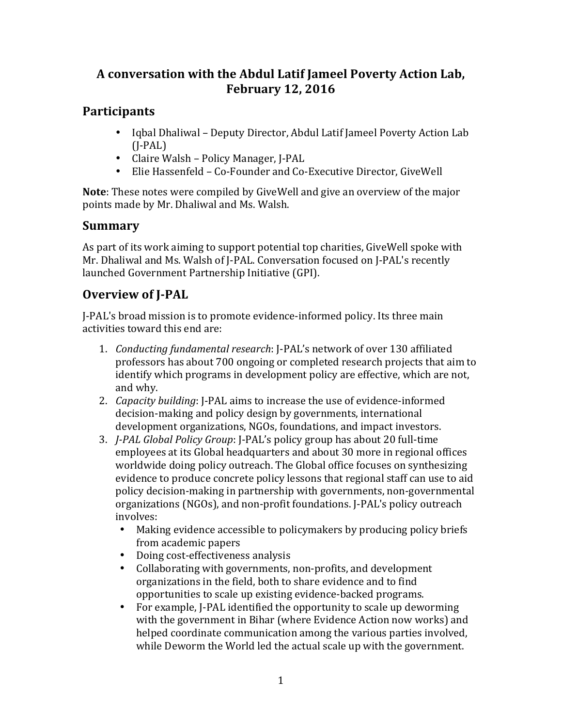### A conversation with the Abdul Latif Jameel Poverty Action Lab, **February 12, 2016**

### **Participants**

- Iqbal Dhaliwal Deputy Director, Abdul Latif Jameel Poverty Action Lab (J-PAL)
- Claire Walsh Policy Manager, J-PAL<br>• Elie Hassenfeld Co-Founder and Co-
- Elie Hassenfeld Co-Founder and Co-Executive Director, GiveWell

**Note**: These notes were compiled by GiveWell and give an overview of the major points made by Mr. Dhaliwal and Ms. Walsh.

# **Summary**

As part of its work aiming to support potential top charities, GiveWell spoke with Mr. Dhaliwal and Ms. Walsh of J-PAL. Conversation focused on J-PAL's recently launched Government Partnership Initiative (GPI).

# **Overview of J-PAL**

I-PAL's broad mission is to promote evidence-informed policy. Its three main activities toward this end are:

- 1. *Conducting fundamental research*: [-PAL's network of over 130 affiliated professors has about 700 ongoing or completed research projects that aim to identify which programs in development policy are effective, which are not, and why.
- 2. *Capacity building*: I-PAL aims to increase the use of evidence-informed decision-making and policy design by governments, international development organizations, NGOs, foundations, and impact investors.
- 3. *J-PAL Global Policy Group*: J-PAL's policy group has about 20 full-time employees at its Global headquarters and about 30 more in regional offices worldwide doing policy outreach. The Global office focuses on synthesizing evidence to produce concrete policy lessons that regional staff can use to aid policy decision-making in partnership with governments, non-governmental organizations (NGOs), and non-profit foundations. I-PAL's policy outreach involves:
	- Making evidence accessible to policymakers by producing policy briefs from academic papers
	- Doing cost-effectiveness analysis
	- Collaborating with governments, non-profits, and development organizations in the field, both to share evidence and to find opportunities to scale up existing evidence-backed programs.
	- For example, I-PAL identified the opportunity to scale up deworming with the government in Bihar (where Evidence Action now works) and helped coordinate communication among the various parties involved, while Deworm the World led the actual scale up with the government.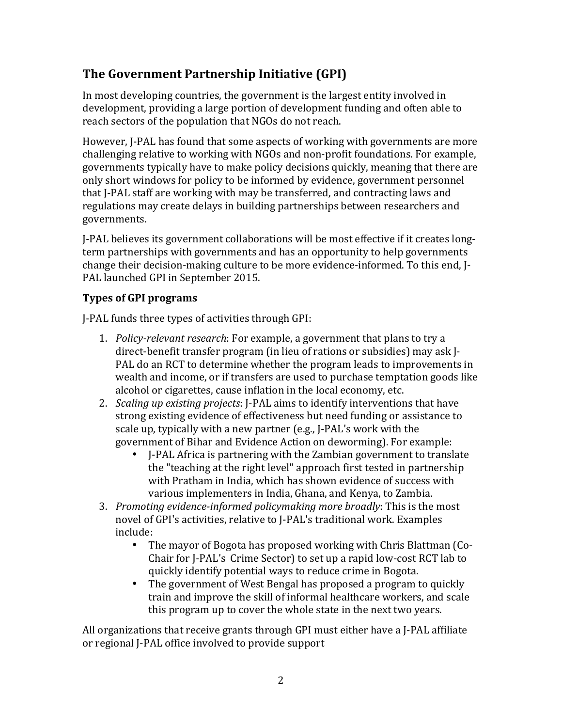## **The Government Partnership Initiative (GPI)**

In most developing countries, the government is the largest entity involved in development, providing a large portion of development funding and often able to reach sectors of the population that NGOs do not reach.

However, J-PAL has found that some aspects of working with governments are more challenging relative to working with NGOs and non-profit foundations. For example, governments typically have to make policy decisions quickly, meaning that there are only short windows for policy to be informed by evidence, government personnel that I-PAL staff are working with may be transferred, and contracting laws and regulations may create delays in building partnerships between researchers and governments.

I-PAL believes its government collaborations will be most effective if it creates longterm partnerships with governments and has an opportunity to help governments change their decision-making culture to be more evidence-informed. To this end, I-PAL launched GPI in September 2015.

### **Types of GPI programs**

J-PAL funds three types of activities through GPI:

- 1. *Policy-relevant research*: For example, a government that plans to try a direct-benefit transfer program (in lieu of rations or subsidies) may ask I-PAL do an RCT to determine whether the program leads to improvements in wealth and income, or if transfers are used to purchase temptation goods like alcohol or cigarettes, cause inflation in the local economy, etc.
- 2. *Scaling up existing projects*: [-PAL aims to identify interventions that have strong existing evidence of effectiveness but need funding or assistance to scale up, typically with a new partner (e.g., J-PAL's work with the government of Bihar and Evidence Action on deworming). For example:
	- I-PAL Africa is partnering with the Zambian government to translate the "teaching at the right level" approach first tested in partnership with Pratham in India, which has shown evidence of success with various implementers in India, Ghana, and Kenya, to Zambia.
- 3. *Promoting evidence-informed policymaking more broadly:* This is the most novel of GPI's activities, relative to J-PAL's traditional work. Examples include:
	- The mayor of Bogota has proposed working with Chris Blattman (Co-Chair for J-PAL's Crime Sector) to set up a rapid low-cost RCT lab to quickly identify potential ways to reduce crime in Bogota.
	- The government of West Bengal has proposed a program to quickly train and improve the skill of informal healthcare workers, and scale this program up to cover the whole state in the next two years.

All organizations that receive grants through  $GPI$  must either have a I-PAL affiliate or regional J-PAL office involved to provide support